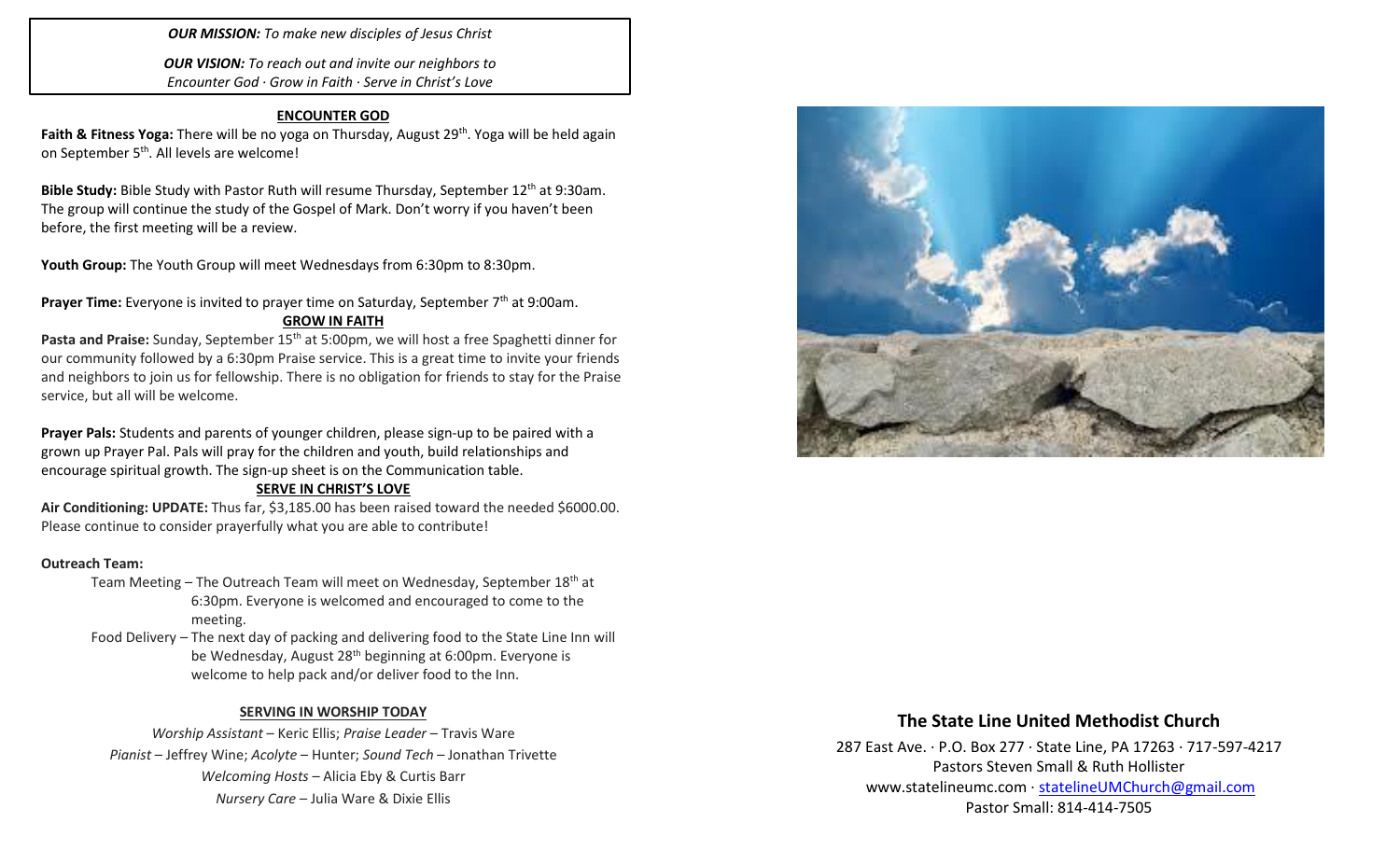*OUR MISSION: To make new disciples of Jesus Christ*

*OUR VISION: To reach out and invite our neighbors to Encounter God · Grow in Faith · Serve in Christ's Love*

#### **ENCOUNTER GOD**

Faith & Fitness Yoga: There will be no yoga on Thursday, August 29<sup>th</sup>. Yoga will be held again on September 5<sup>th</sup>. All levels are welcome!

Bible Study: Bible Study with Pastor Ruth will resume Thursday, September 12<sup>th</sup> at 9:30am. The group will continue the study of the Gospel of Mark. Don't worry if you haven't been before, the first meeting will be a review.

Youth Group: The Youth Group will meet Wednesdays from 6:30pm to 8:30pm.

Prayer Time: Everyone is invited to prayer time on Saturday, September 7<sup>th</sup> at 9:00am. **GROW IN FAITH**

Pasta and Praise: Sunday, September 15<sup>th</sup> at 5:00pm, we will host a free Spaghetti dinner for our community followed by a 6:30pm Praise service. This is a great time to invite your friends and neighbors to join us for fellowship. There is no obligation for friends to stay for the Praise service, but all will be welcome.

**Prayer Pals:** Students and parents of younger children, please sign-up to be paired with a grown up Prayer Pal. Pals will pray for the children and youth, build relationships and encourage spiritual growth. The sign-up sheet is on the Communication table.

#### **SERVE IN CHRIST'S LOVE**

**Air Conditioning: UPDATE:** Thus far, \$3,185.00 has been raised toward the needed \$6000.00. Please continue to consider prayerfully what you are able to contribute!

#### **Outreach Team:**

- Team Meeting The Outreach Team will meet on Wednesday, September 18<sup>th</sup> at 6:30pm. Everyone is welcomed and encouraged to come to the meeting.
- Food Delivery The next day of packing and delivering food to the State Line Inn will be Wednesday, August 28<sup>th</sup> beginning at 6:00pm. Everyone is welcome to help pack and/or deliver food to the Inn.

#### **SERVING IN WORSHIP TODAY**

*Worship Assistant* – Keric Ellis; *Praise Leader* – Travis Ware *Pianist* – Jeffrey Wine; *Acolyte* – Hunter; *Sound Tech* – Jonathan Trivette *Welcoming Hosts* – Alicia Eby & Curtis Barr *Nursery Care* – Julia Ware & Dixie Ellis



## **The State Line United Methodist Church**

287 East Ave. · P.O. Box 277 · State Line, PA 17263 · 717-597-4217 Pastors Steven Small & Ruth Hollister [www.statelineumc.com](http://www.statelineumc.com/) · [statelineUMChurch@gmail.com](mailto:statelineUMChurch@gmail.com) Pastor Small: 814-414-7505